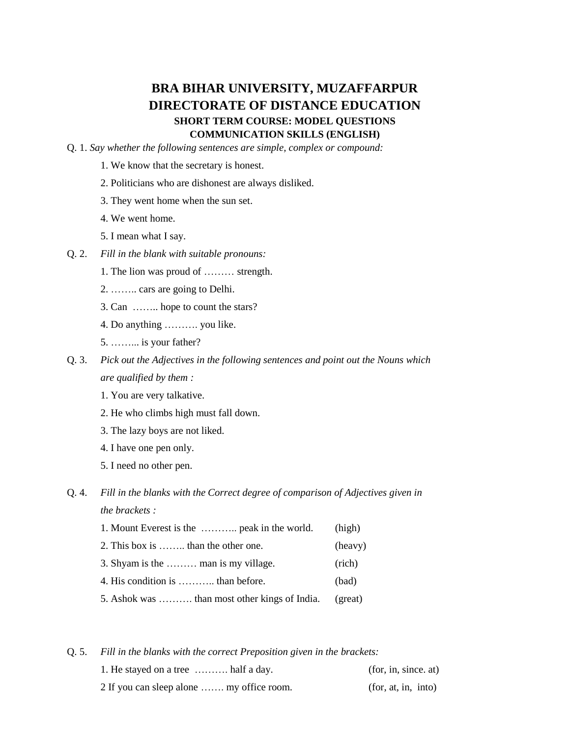## **BRA BIHAR UNIVERSITY, MUZAFFARPUR DIRECTORATE OF DISTANCE EDUCATION SHORT TERM COURSE: MODEL QUESTIONS COMMUNICATION SKILLS (ENGLISH)**

Q. 1. *Say whether the following sentences are simple, complex or compound:*

- 1. We know that the secretary is honest.
- 2. Politicians who are dishonest are always disliked.
- 3. They went home when the sun set.
- 4. We went home.
- 5. I mean what I say.
- Q. 2. *Fill in the blank with suitable pronouns:*
	- 1. The lion was proud of ……… strength.
	- 2. …….. cars are going to Delhi.
	- 3. Can …….. hope to count the stars?
	- 4. Do anything ………. you like.
	- 5. ……... is your father?
- Q. 3. *Pick out the Adjectives in the following sentences and point out the Nouns which are qualified by them :*
	- 1. You are very talkative.
	- 2. He who climbs high must fall down.
	- 3. The lazy boys are not liked.
	- 4. I have one pen only.
	- 5. I need no other pen.

## Q. 4. *Fill in the blanks with the Correct degree of comparison of Adjectives given in the brackets :*

| 1. Mount Everest is the  peak in the world.   | (high)  |
|-----------------------------------------------|---------|
| 2. This box is  than the other one.           | (heavy) |
| 3. Shyam is the  man is my village.           | (rich)  |
| 4. His condition is  than before.             | (bad)   |
| 5. Ashok was  than most other kings of India. | (great) |

Q. 5. *Fill in the blanks with the correct Preposition given in the brackets:*

| 1. He stayed on a tree  half a day.       | (for, in, since, at) |
|-------------------------------------------|----------------------|
| 2 If you can sleep alone  my office room. | (for, at, in, into)  |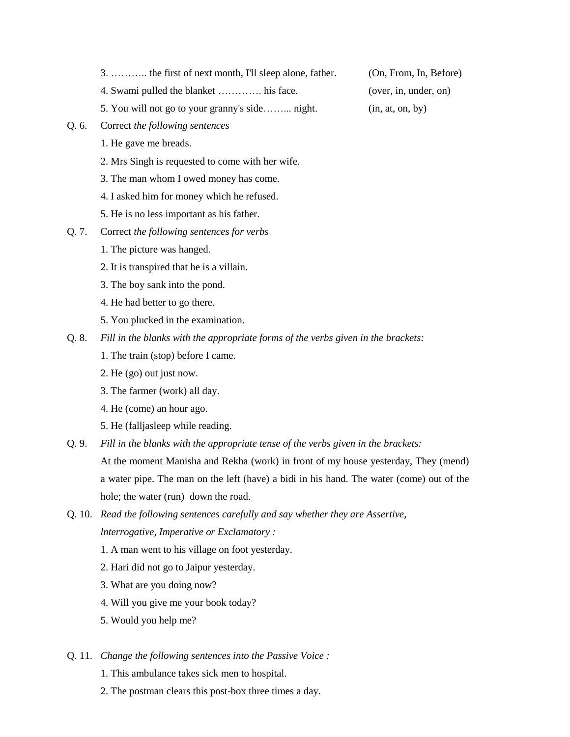- 3. ……….. the first of next month, I'll sleep alone, father. (On, From, In, Before)
- 4. Swami pulled the blanket …………. his face. (over, in, under, on)
- 5. You will not go to your granny's side……... night. (in, at, on, by)
- Q. 6. Correct *the following sentences*
	- 1. He gave me breads.
	- 2. Mrs Singh is requested to come with her wife.
	- 3. The man whom I owed money has come.
	- 4. I asked him for money which he refused.
	- 5. He is no less important as his father.
- Q. 7. Correct *the following sentences for verbs* 
	- 1. The picture was hanged.
	- 2. It is transpired that he is a villain.
	- 3. The boy sank into the pond.
	- 4. He had better to go there.
	- 5. You plucked in the examination.
- Q. 8. *Fill in the blanks with the appropriate forms of the verbs given in the brackets:*
	- 1. The train (stop) before I came.
	- 2. He (go) out just now.
	- 3. The farmer (work) all day.
	- 4. He (come) an hour ago.
	- 5. He (falljasleep while reading.
- Q. 9. *Fill in the blanks with the appropriate tense of the verbs given in the brackets:*

At the moment Manisha and Rekha (work) in front of my house yesterday, They (mend) a water pipe. The man on the left (have) a bidi in his hand. The water (come) out of the hole; the water (run) down the road.

- Q. 10. *Read the following sentences carefully and say whether they are Assertive, lnterrogative, Imperative or Exclamatory :*
	- 1. A man went to his village on foot yesterday.
	- 2. Hari did not go to Jaipur yesterday.
	- 3. What are you doing now?
	- 4. Will you give me your book today?
	- 5. Would you help me?
- Q. 11. *Change the following sentences into the Passive Voice :*
	- 1. This ambulance takes sick men to hospital.
	- 2. The postman clears this post-box three times a day.